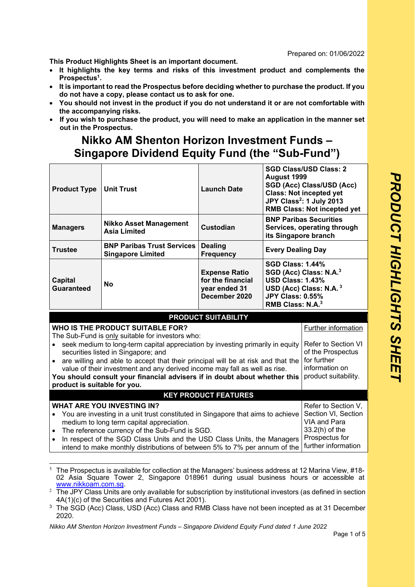Prepared on: 01/06/2022

**This Product Highlights Sheet is an important document.** 

- **It highlights the key terms and risks of this investment product and complements the Prospectus1.**
- **It is important to read the Prospectus before deciding whether to purchase the product. If you do not have a copy, please contact us to ask for one.**
- **You should not invest in the product if you do not understand it or are not comfortable with the accompanying risks.**
- **If you wish to purchase the product, you will need to make an application in the manner set out in the Prospectus.**

## **Nikko AM Shenton Horizon Investment Funds – Singapore Dividend Equity Fund (the "Sub-Fund")**

| <b>Product Type</b>                                                                                                                                                                                                                                                                                                                                                                                                                                                                                                                      | <b>Unit Trust</b>                                             | <b>Launch Date</b>                                                          | August 1999                                                                                                   | <b>SGD Class/USD Class: 2</b><br>SGD (Acc) Class/USD (Acc)<br><b>Class: Not incepted yet</b><br>JPY Class <sup>2</sup> : 1 July 2013<br><b>RMB Class: Not incepted yet</b> |
|------------------------------------------------------------------------------------------------------------------------------------------------------------------------------------------------------------------------------------------------------------------------------------------------------------------------------------------------------------------------------------------------------------------------------------------------------------------------------------------------------------------------------------------|---------------------------------------------------------------|-----------------------------------------------------------------------------|---------------------------------------------------------------------------------------------------------------|----------------------------------------------------------------------------------------------------------------------------------------------------------------------------|
| <b>Managers</b>                                                                                                                                                                                                                                                                                                                                                                                                                                                                                                                          | <b>Nikko Asset Management</b><br><b>Asia Limited</b>          | <b>Custodian</b>                                                            | its Singapore branch                                                                                          | <b>BNP Paribas Securities</b><br>Services, operating through                                                                                                               |
| <b>Trustee</b>                                                                                                                                                                                                                                                                                                                                                                                                                                                                                                                           | <b>BNP Paribas Trust Services</b><br><b>Singapore Limited</b> | <b>Dealing</b><br><b>Frequency</b>                                          | <b>Every Dealing Day</b>                                                                                      |                                                                                                                                                                            |
| <b>Capital</b><br><b>Guaranteed</b>                                                                                                                                                                                                                                                                                                                                                                                                                                                                                                      | No                                                            | <b>Expense Ratio</b><br>for the financial<br>year ended 31<br>December 2020 | <b>SGD Class: 1.44%</b><br><b>USD Class: 1.43%</b><br><b>JPY Class: 0.55%</b><br>RMB Class: N.A. <sup>3</sup> | SGD (Acc) Class: N.A. <sup>3</sup><br>USD (Acc) Class: N.A. <sup>3</sup>                                                                                                   |
|                                                                                                                                                                                                                                                                                                                                                                                                                                                                                                                                          |                                                               | <b>PRODUCT SUITABILITY</b>                                                  |                                                                                                               |                                                                                                                                                                            |
|                                                                                                                                                                                                                                                                                                                                                                                                                                                                                                                                          | WHO IS THE PRODUCT SUITABLE FOR?                              |                                                                             |                                                                                                               | Further information                                                                                                                                                        |
| The Sub-Fund is only suitable for investors who:<br>seek medium to long-term capital appreciation by investing primarily in equity<br>of the Prospectus<br>securities listed in Singapore; and<br>for further<br>• are willing and able to accept that their principal will be at risk and that the<br>information on<br>value of their investment and any derived income may fall as well as rise.<br>product suitability.<br>You should consult your financial advisers if in doubt about whether this<br>product is suitable for you. |                                                               |                                                                             |                                                                                                               | Refer to Section VI                                                                                                                                                        |
| <b>KEY PRODUCT FEATURES</b>                                                                                                                                                                                                                                                                                                                                                                                                                                                                                                              |                                                               |                                                                             |                                                                                                               |                                                                                                                                                                            |
| <b>WHAT ARE YOU INVESTING IN?</b><br>You are investing in a unit trust constituted in Singapore that aims to achieve<br>VIA and Para<br>medium to long term capital appreciation.<br>33.2(h) of the<br>The reference currency of the Sub-Fund is SGD.<br>Prospectus for<br>In respect of the SGD Class Units and the USD Class Units, the Managers<br>intend to make monthly distributions of between 5% to 7% per annum of the                                                                                                          |                                                               |                                                                             | Refer to Section V,<br>Section VI, Section<br>further information                                             |                                                                                                                                                                            |

<sup>1</sup> The Prospectus is available for collection at the Managers' business address at 12 Marina View, #18- 02 Asia Square Tower 2, Singapore 018961 during usual business hours or accessible at www.nikkoam.com.sg.

*Nikko AM Shenton Horizon Investment Funds – Singapore Dividend Equity Fund dated 1 June 2022* 

 $^2$  The JPY Class Units are only available for subscription by institutional investors (as defined in section 4A(1)(c) of the Securities and Futures Act 2001).

<sup>&</sup>lt;sup>3</sup> The SGD (Acc) Class, USD (Acc) Class and RMB Class have not been incepted as at 31 December 2020.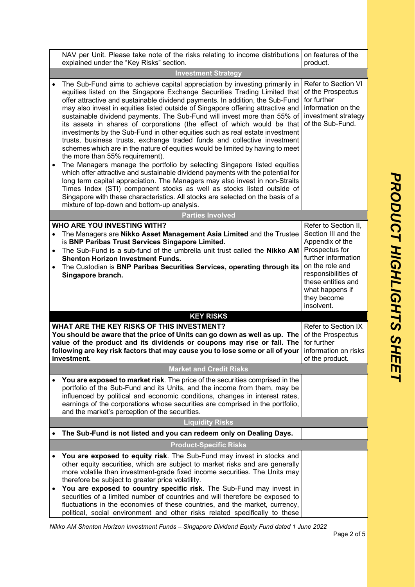| NAV per Unit. Please take note of the risks relating to income distributions<br>explained under the "Key Risks" section.                                                                                                                                                                                                                                                                                                                                                                                                                                                                                                                                                                                                                                                                                                                                                                                                                                                                                                                                                                                                                                                                                                       | on features of the<br>product.                                                                                                                                                                                          |
|--------------------------------------------------------------------------------------------------------------------------------------------------------------------------------------------------------------------------------------------------------------------------------------------------------------------------------------------------------------------------------------------------------------------------------------------------------------------------------------------------------------------------------------------------------------------------------------------------------------------------------------------------------------------------------------------------------------------------------------------------------------------------------------------------------------------------------------------------------------------------------------------------------------------------------------------------------------------------------------------------------------------------------------------------------------------------------------------------------------------------------------------------------------------------------------------------------------------------------|-------------------------------------------------------------------------------------------------------------------------------------------------------------------------------------------------------------------------|
| <b>Investment Strategy</b>                                                                                                                                                                                                                                                                                                                                                                                                                                                                                                                                                                                                                                                                                                                                                                                                                                                                                                                                                                                                                                                                                                                                                                                                     |                                                                                                                                                                                                                         |
| The Sub-Fund aims to achieve capital appreciation by investing primarily in<br>equities listed on the Singapore Exchange Securities Trading Limited that<br>offer attractive and sustainable dividend payments. In addition, the Sub-Fund<br>may also invest in equities listed outside of Singapore offering attractive and<br>sustainable dividend payments. The Sub-Fund will invest more than 55% of<br>its assets in shares of corporations (the effect of which would be that<br>investments by the Sub-Fund in other equities such as real estate investment<br>trusts, business trusts, exchange traded funds and collective investment<br>schemes which are in the nature of equities would be limited by having to meet<br>the more than 55% requirement).<br>The Managers manage the portfolio by selecting Singapore listed equities<br>which offer attractive and sustainable dividend payments with the potential for<br>long term capital appreciation. The Managers may also invest in non-Straits<br>Times Index (STI) component stocks as well as stocks listed outside of<br>Singapore with these characteristics. All stocks are selected on the basis of a<br>mixture of top-down and bottom-up analysis. | Refer to Section VI<br>of the Prospectus<br>for further<br>information on the<br>investment strategy<br>of the Sub-Fund.                                                                                                |
| <b>Parties Involved</b>                                                                                                                                                                                                                                                                                                                                                                                                                                                                                                                                                                                                                                                                                                                                                                                                                                                                                                                                                                                                                                                                                                                                                                                                        |                                                                                                                                                                                                                         |
| WHO ARE YOU INVESTING WITH?<br>The Managers are Nikko Asset Management Asia Limited and the Trustee<br>is BNP Paribas Trust Services Singapore Limited.<br>The Sub-Fund is a sub-fund of the umbrella unit trust called the Nikko AM<br><b>Shenton Horizon Investment Funds.</b><br>The Custodian is BNP Paribas Securities Services, operating through its<br>Singapore branch.                                                                                                                                                                                                                                                                                                                                                                                                                                                                                                                                                                                                                                                                                                                                                                                                                                               | Refer to Section II,<br>Section III and the<br>Appendix of the<br>Prospectus for<br>further information<br>on the role and<br>responsibilities of<br>these entities and<br>what happens if<br>they become<br>insolvent. |
| <b>KEY RISKS</b>                                                                                                                                                                                                                                                                                                                                                                                                                                                                                                                                                                                                                                                                                                                                                                                                                                                                                                                                                                                                                                                                                                                                                                                                               |                                                                                                                                                                                                                         |
| WHAT ARE THE KEY RISKS OF THIS INVESTMENT?<br>You should be aware that the price of Units can go down as well as up. The<br>value of the product and its dividends or coupons may rise or fall. The<br>following are key risk factors that may cause you to lose some or all of your<br>investment.                                                                                                                                                                                                                                                                                                                                                                                                                                                                                                                                                                                                                                                                                                                                                                                                                                                                                                                            | Refer to Section IX<br>of the Prospectus<br>for further<br>information on risks<br>of the product.                                                                                                                      |
| <b>Market and Credit Risks</b>                                                                                                                                                                                                                                                                                                                                                                                                                                                                                                                                                                                                                                                                                                                                                                                                                                                                                                                                                                                                                                                                                                                                                                                                 |                                                                                                                                                                                                                         |
| You are exposed to market risk. The price of the securities comprised in the<br>portfolio of the Sub-Fund and its Units, and the income from them, may be<br>influenced by political and economic conditions, changes in interest rates,<br>earnings of the corporations whose securities are comprised in the portfolio,<br>and the market's perception of the securities.                                                                                                                                                                                                                                                                                                                                                                                                                                                                                                                                                                                                                                                                                                                                                                                                                                                    |                                                                                                                                                                                                                         |
| <b>Liquidity Risks</b>                                                                                                                                                                                                                                                                                                                                                                                                                                                                                                                                                                                                                                                                                                                                                                                                                                                                                                                                                                                                                                                                                                                                                                                                         |                                                                                                                                                                                                                         |
| The Sub-Fund is not listed and you can redeem only on Dealing Days.                                                                                                                                                                                                                                                                                                                                                                                                                                                                                                                                                                                                                                                                                                                                                                                                                                                                                                                                                                                                                                                                                                                                                            |                                                                                                                                                                                                                         |
| <b>Product-Specific Risks</b>                                                                                                                                                                                                                                                                                                                                                                                                                                                                                                                                                                                                                                                                                                                                                                                                                                                                                                                                                                                                                                                                                                                                                                                                  |                                                                                                                                                                                                                         |
| You are exposed to equity risk. The Sub-Fund may invest in stocks and<br>other equity securities, which are subject to market risks and are generally<br>more volatile than investment-grade fixed income securities. The Units may<br>therefore be subject to greater price volatility.<br>You are exposed to country specific risk. The Sub-Fund may invest in                                                                                                                                                                                                                                                                                                                                                                                                                                                                                                                                                                                                                                                                                                                                                                                                                                                               |                                                                                                                                                                                                                         |
| securities of a limited number of countries and will therefore be exposed to<br>fluctuations in the economies of these countries, and the market, currency,                                                                                                                                                                                                                                                                                                                                                                                                                                                                                                                                                                                                                                                                                                                                                                                                                                                                                                                                                                                                                                                                    |                                                                                                                                                                                                                         |

*Nikko AM Shenton Horizon Investment Funds – Singapore Dividend Equity Fund dated 1 June 2022* 

political, social environment and other risks related specifically to these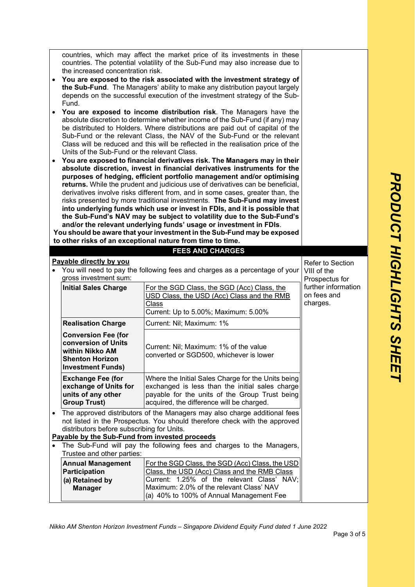|                                                                                                                                                                                                                                                                                                                | countries, which may affect the market price of its investments in these<br>countries. The potential volatility of the Sub-Fund may also increase due to<br>the increased concentration risk.                                                                                                                   |                                                                                                                                                                                                      |                                                |
|----------------------------------------------------------------------------------------------------------------------------------------------------------------------------------------------------------------------------------------------------------------------------------------------------------------|-----------------------------------------------------------------------------------------------------------------------------------------------------------------------------------------------------------------------------------------------------------------------------------------------------------------|------------------------------------------------------------------------------------------------------------------------------------------------------------------------------------------------------|------------------------------------------------|
| $\bullet$                                                                                                                                                                                                                                                                                                      | You are exposed to the risk associated with the investment strategy of<br>the Sub-Fund. The Managers' ability to make any distribution payout largely<br>depends on the successful execution of the investment strategy of the Sub-<br>Fund.                                                                    |                                                                                                                                                                                                      |                                                |
| You are exposed to income distribution risk. The Managers have the<br>absolute discretion to determine whether income of the Sub-Fund (if any) may<br>be distributed to Holders. Where distributions are paid out of capital of the<br>Sub-Fund or the relevant Class, the NAV of the Sub-Fund or the relevant |                                                                                                                                                                                                                                                                                                                 |                                                                                                                                                                                                      |                                                |
|                                                                                                                                                                                                                                                                                                                | Class will be reduced and this will be reflected in the realisation price of the<br>Units of the Sub-Fund or the relevant Class.                                                                                                                                                                                |                                                                                                                                                                                                      |                                                |
| $\bullet$                                                                                                                                                                                                                                                                                                      | You are exposed to financial derivatives risk. The Managers may in their<br>absolute discretion, invest in financial derivatives instruments for the<br>purposes of hedging, efficient portfolio management and/or optimising<br>returns. While the prudent and judicious use of derivatives can be beneficial, |                                                                                                                                                                                                      |                                                |
|                                                                                                                                                                                                                                                                                                                | derivatives involve risks different from, and in some cases, greater than, the<br>risks presented by more traditional investments. The Sub-Fund may invest<br>into underlying funds which use or invest in FDIs, and it is possible that                                                                        |                                                                                                                                                                                                      |                                                |
|                                                                                                                                                                                                                                                                                                                |                                                                                                                                                                                                                                                                                                                 | the Sub-Fund's NAV may be subject to volatility due to the Sub-Fund's<br>and/or the relevant underlying funds' usage or investment in FDIs.                                                          |                                                |
|                                                                                                                                                                                                                                                                                                                |                                                                                                                                                                                                                                                                                                                 | You should be aware that your investment in the Sub-Fund may be exposed<br>to other risks of an exceptional nature from time to time.                                                                |                                                |
|                                                                                                                                                                                                                                                                                                                |                                                                                                                                                                                                                                                                                                                 | <b>FEES AND CHARGES</b>                                                                                                                                                                              |                                                |
|                                                                                                                                                                                                                                                                                                                |                                                                                                                                                                                                                                                                                                                 |                                                                                                                                                                                                      |                                                |
| $\bullet$                                                                                                                                                                                                                                                                                                      | Payable directly by you<br>Refer to Section<br>You will need to pay the following fees and charges as a percentage of your<br>VIII of the<br>gross investment sum:<br>Prospectus for                                                                                                                            |                                                                                                                                                                                                      |                                                |
|                                                                                                                                                                                                                                                                                                                | <b>Initial Sales Charge</b>                                                                                                                                                                                                                                                                                     | For the SGD Class, the SGD (Acc) Class, the<br>USD Class, the USD (Acc) Class and the RMB<br>Class<br>Current: Up to 5.00%; Maximum: 5.00%                                                           | further information<br>on fees and<br>charges. |
|                                                                                                                                                                                                                                                                                                                | <b>Realisation Charge</b>                                                                                                                                                                                                                                                                                       | Current: Nil; Maximum: 1%                                                                                                                                                                            |                                                |
|                                                                                                                                                                                                                                                                                                                | <b>Conversion Fee (for</b><br>conversion of Units<br>within Nikko AM<br><b>Shenton Horizon</b><br><b>Investment Funds)</b>                                                                                                                                                                                      | Current: Nil; Maximum: 1% of the value<br>converted or SGD500, whichever is lower                                                                                                                    |                                                |
|                                                                                                                                                                                                                                                                                                                | <b>Exchange Fee (for</b><br>exchange of Units for<br>units of any other<br><b>Group Trust)</b>                                                                                                                                                                                                                  | Where the Initial Sales Charge for the Units being<br>exchanged is less than the initial sales charge<br>payable for the units of the Group Trust being<br>acquired, the difference will be charged. |                                                |
|                                                                                                                                                                                                                                                                                                                | • The approved distributors of the Managers may also charge additional fees<br>not listed in the Prospectus. You should therefore check with the approved<br>distributors before subscribing for Units.                                                                                                         |                                                                                                                                                                                                      |                                                |
| Payable by the Sub-Fund from invested proceeds                                                                                                                                                                                                                                                                 |                                                                                                                                                                                                                                                                                                                 |                                                                                                                                                                                                      |                                                |
|                                                                                                                                                                                                                                                                                                                | The Sub-Fund will pay the following fees and charges to the Managers,<br>Trustee and other parties:                                                                                                                                                                                                             |                                                                                                                                                                                                      |                                                |
|                                                                                                                                                                                                                                                                                                                | <b>Annual Management</b>                                                                                                                                                                                                                                                                                        | For the SGD Class, the SGD (Acc) Class, the USD                                                                                                                                                      |                                                |
|                                                                                                                                                                                                                                                                                                                | <b>Participation</b>                                                                                                                                                                                                                                                                                            | Class, the USD (Acc) Class and the RMB Class                                                                                                                                                         |                                                |
|                                                                                                                                                                                                                                                                                                                | (a) Retained by<br><b>Manager</b>                                                                                                                                                                                                                                                                               | Current: 1.25% of the relevant Class' NAV;<br>Maximum: 2.0% of the relevant Class' NAV                                                                                                               |                                                |

*Nikko AM Shenton Horizon Investment Funds – Singapore Dividend Equity Fund dated 1 June 2022*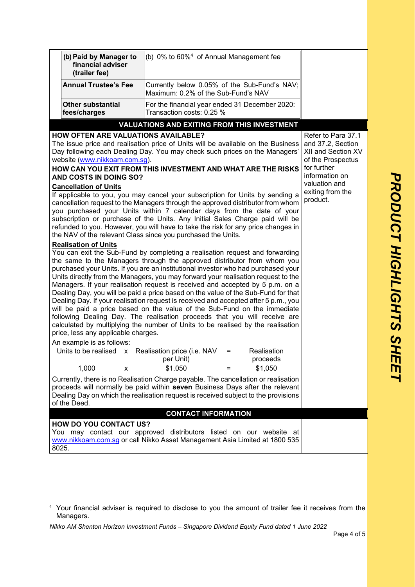|                                                                                                                                                                                                                                                                                                                                                                                                                                                                                                                | (b) Paid by Manager to<br>financial adviser<br>(trailer fee)                                                                                                                                                                                                                                                                                                                                                                                                                                                                                                                                                                                                                                                                                                                                                                                                                                                                                                                                                              | (b) 0% to 60% <sup>4</sup> of Annual Management fee                                 |                                                                                                                     |
|----------------------------------------------------------------------------------------------------------------------------------------------------------------------------------------------------------------------------------------------------------------------------------------------------------------------------------------------------------------------------------------------------------------------------------------------------------------------------------------------------------------|---------------------------------------------------------------------------------------------------------------------------------------------------------------------------------------------------------------------------------------------------------------------------------------------------------------------------------------------------------------------------------------------------------------------------------------------------------------------------------------------------------------------------------------------------------------------------------------------------------------------------------------------------------------------------------------------------------------------------------------------------------------------------------------------------------------------------------------------------------------------------------------------------------------------------------------------------------------------------------------------------------------------------|-------------------------------------------------------------------------------------|---------------------------------------------------------------------------------------------------------------------|
|                                                                                                                                                                                                                                                                                                                                                                                                                                                                                                                | <b>Annual Trustee's Fee</b>                                                                                                                                                                                                                                                                                                                                                                                                                                                                                                                                                                                                                                                                                                                                                                                                                                                                                                                                                                                               | Currently below 0.05% of the Sub-Fund's NAV;<br>Maximum: 0.2% of the Sub-Fund's NAV |                                                                                                                     |
|                                                                                                                                                                                                                                                                                                                                                                                                                                                                                                                | <b>Other substantial</b><br>fees/charges                                                                                                                                                                                                                                                                                                                                                                                                                                                                                                                                                                                                                                                                                                                                                                                                                                                                                                                                                                                  | For the financial year ended 31 December 2020:<br>Transaction costs: 0.25 %         |                                                                                                                     |
|                                                                                                                                                                                                                                                                                                                                                                                                                                                                                                                |                                                                                                                                                                                                                                                                                                                                                                                                                                                                                                                                                                                                                                                                                                                                                                                                                                                                                                                                                                                                                           | <b>VALUATIONS AND EXITING FROM THIS INVESTMENT</b>                                  |                                                                                                                     |
| <b>HOW OFTEN ARE VALUATIONS AVAILABLE?</b><br>The issue price and realisation price of Units will be available on the Business<br>Day following each Dealing Day. You may check such prices on the Managers'<br>website (www.nikkoam.com.sg).<br>HOW CAN YOU EXIT FROM THIS INVESTMENT AND WHAT ARE THE RISKS<br><b>AND COSTS IN DOING SO?</b>                                                                                                                                                                 |                                                                                                                                                                                                                                                                                                                                                                                                                                                                                                                                                                                                                                                                                                                                                                                                                                                                                                                                                                                                                           |                                                                                     | Refer to Para 37.1<br>and 37.2, Section<br>XII and Section XV<br>of the Prospectus<br>for further<br>information on |
| <b>Cancellation of Units</b><br>If applicable to you, you may cancel your subscription for Units by sending a<br>cancellation request to the Managers through the approved distributor from whom<br>you purchased your Units within 7 calendar days from the date of your<br>subscription or purchase of the Units. Any Initial Sales Charge paid will be<br>refunded to you. However, you will have to take the risk for any price changes in<br>the NAV of the relevant Class since you purchased the Units. |                                                                                                                                                                                                                                                                                                                                                                                                                                                                                                                                                                                                                                                                                                                                                                                                                                                                                                                                                                                                                           |                                                                                     | valuation and<br>exiting from the<br>product.                                                                       |
|                                                                                                                                                                                                                                                                                                                                                                                                                                                                                                                | <b>Realisation of Units</b><br>You can exit the Sub-Fund by completing a realisation request and forwarding<br>the same to the Managers through the approved distributor from whom you<br>purchased your Units. If you are an institutional investor who had purchased your<br>Units directly from the Managers, you may forward your realisation request to the<br>Managers. If your realisation request is received and accepted by 5 p.m. on a<br>Dealing Day, you will be paid a price based on the value of the Sub-Fund for that<br>Dealing Day. If your realisation request is received and accepted after 5 p.m., you<br>will be paid a price based on the value of the Sub-Fund on the immediate<br>following Dealing Day. The realisation proceeds that you will receive are<br>calculated by multiplying the number of Units to be realised by the realisation<br>price, less any applicable charges.<br>An example is as follows:<br>Units to be realised x Realisation price (i.e. NAV<br>Realisation<br>$=$ |                                                                                     |                                                                                                                     |
|                                                                                                                                                                                                                                                                                                                                                                                                                                                                                                                | 1,000<br>X                                                                                                                                                                                                                                                                                                                                                                                                                                                                                                                                                                                                                                                                                                                                                                                                                                                                                                                                                                                                                | per Unit)<br>proceeds<br>\$1.050<br>\$1,050<br>$=$                                  |                                                                                                                     |
| Currently, there is no Realisation Charge payable. The cancellation or realisation<br>proceeds will normally be paid within seven Business Days after the relevant<br>Dealing Day on which the realisation request is received subject to the provisions<br>of the Deed.                                                                                                                                                                                                                                       |                                                                                                                                                                                                                                                                                                                                                                                                                                                                                                                                                                                                                                                                                                                                                                                                                                                                                                                                                                                                                           |                                                                                     |                                                                                                                     |
|                                                                                                                                                                                                                                                                                                                                                                                                                                                                                                                |                                                                                                                                                                                                                                                                                                                                                                                                                                                                                                                                                                                                                                                                                                                                                                                                                                                                                                                                                                                                                           | <b>CONTACT INFORMATION</b>                                                          |                                                                                                                     |
| <b>HOW DO YOU CONTACT US?</b><br>You may contact our approved distributors listed on our website at<br>www.nikkoam.com.sg or call Nikko Asset Management Asia Limited at 1800 535<br>8025.                                                                                                                                                                                                                                                                                                                     |                                                                                                                                                                                                                                                                                                                                                                                                                                                                                                                                                                                                                                                                                                                                                                                                                                                                                                                                                                                                                           |                                                                                     |                                                                                                                     |

<sup>&</sup>lt;sup>4</sup> Your financial adviser is required to disclose to you the amount of trailer fee it receives from the Managers.

*Nikko AM Shenton Horizon Investment Funds – Singapore Dividend Equity Fund dated 1 June 2022*